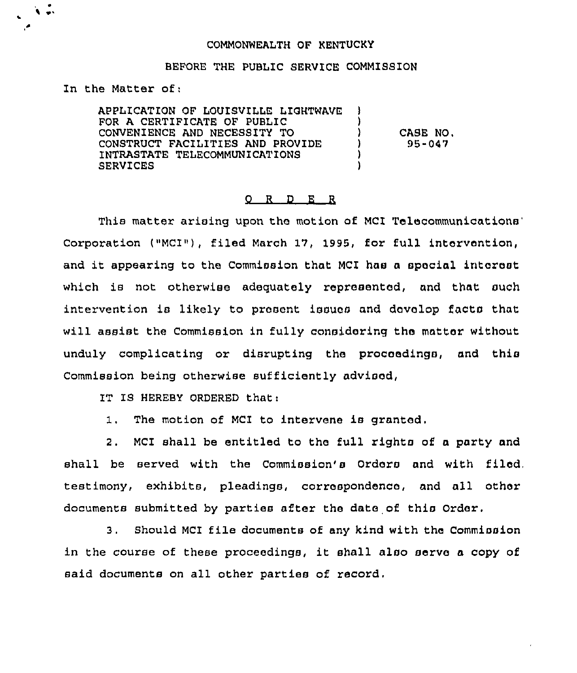## COMMONWEALTH OF KENTUCKY

## BEFORE THE PUBLIC SERVICE COMMISSION

In the Matter of;

 $\lambda$  e.

APPLICATIQN QF LOUISVILLE LIGHTWAVE FOR A CERTIFICATE OF PUBLIC CONVENIENCE AND NECESSITY TO CONSTRUCT FACILITIES AND PROVIDE INTRASTATE TELECOMMUNICATIONS SERVICES

) CASE NQ. ) 95-047

) )

) )

## 0 <sup>R</sup> <sup>D</sup> E <sup>R</sup>

This matter arising upon the motion of MCI Telecommunications' Corporation ("MCI"), filed March 17, 1995, for full intervention, and it appearing to the Commission that MCI hae <sup>a</sup> special intorast which is not otherwise adequately represented, and that such intervention ie likely to present issues and dovolop facts that will assist the Commission in fully considering the matter without unduly complicating or disrupting the proceedings, and this Commission being otherwise euf ficiantly advisad,

IT IS HEREBY ORDERED that:

1. The motion of MCI to intervene is granted.

2. MCI shall be entitled to tha full rights of a party and shall be served with the Commission's Ordors and with filed, testimony, exhibits, pleadings, corraspondenca, and all other documents submitted by parties after the data of this Order.

3. Should MCI file documents of any kind with the Commission in the course of these proceedings, it shall also serve a copy of said documents on all other parties of record.